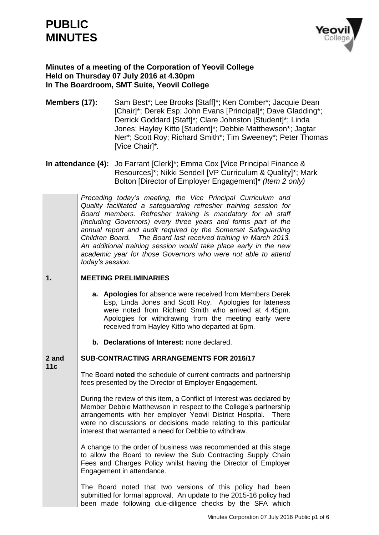# **PUBLIC MINUTES**



# **Minutes of a meeting of the Corporation of Yeovil College Held on Thursday 07 July 2016 at 4.30pm In The Boardroom, SMT Suite, Yeovil College**

- **Members (17):** Sam Best\*; Lee Brooks [Staff]\*; Ken Comber\*; Jacquie Dean [Chair]\*; Derek Esp; John Evans [Principal]\*; Dave Gladding\*; Derrick Goddard [Staff]\*; Clare Johnston [Student]\*; Linda Jones; Hayley Kitto [Student]\*; Debbie Matthewson\*; Jagtar Ner\*; Scott Roy; Richard Smith\*; Tim Sweeney\*; Peter Thomas [Vice Chair]\**.*
- **In attendance (4):** Jo Farrant [Clerk]\*; Emma Cox [Vice Principal Finance & Resources]\*; Nikki Sendell [VP Curriculum & Quality]\*; Mark Bolton [Director of Employer Engagement]\* *(Item 2 only)*

*Preceding today's meeting, the Vice Principal Curriculum and Quality facilitated a safeguarding refresher training session for Board members. Refresher training is mandatory for all staff (including Governors) every three years and forms part of the annual report and audit required by the Somerset Safeguarding Children Board. The Board last received training in March 2013. An additional training session would take place early in the new academic year for those Governors who were not able to attend today's session.*

#### **1. MEETING PRELIMINARIES**

- **a. Apologies** for absence were received from Members Derek Esp, Linda Jones and Scott Roy. Apologies for lateness were noted from Richard Smith who arrived at 4.45pm. Apologies for withdrawing from the meeting early were received from Hayley Kitto who departed at 6pm.
- **b. Declarations of Interest:** none declared.

#### **2 and SUB-CONTRACTING ARRANGEMENTS FOR 2016/17**

**11c**

The Board **noted** the schedule of current contracts and partnership fees presented by the Director of Employer Engagement.

During the review of this item, a Conflict of Interest was declared by Member Debbie Matthewson in respect to the College's partnership arrangements with her employer Yeovil District Hospital. There were no discussions or decisions made relating to this particular interest that warranted a need for Debbie to withdraw.

A change to the order of business was recommended at this stage to allow the Board to review the Sub Contracting Supply Chain Fees and Charges Policy whilst having the Director of Employer Engagement in attendance.

The Board noted that two versions of this policy had been submitted for formal approval. An update to the 2015-16 policy had been made following due-diligence checks by the SFA which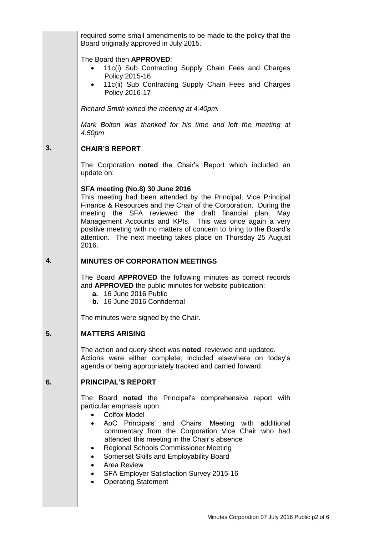required some small amendments to be made to the policy that the Board originally approved in July 2015.

### The Board then **APPROVED**:

- 11c(i) Sub Contracting Supply Chain Fees and Charges Policy 2015-16
- 11c(ii) Sub Contracting Supply Chain Fees and Charges Policy 2016-17

*Richard Smith joined the meeting at 4.40pm.*

*Mark Bolton was thanked for his time and left the meeting at 4.50pm*

#### **3. CHAIR'S REPORT**

The Corporation **noted** the Chair's Report which included an update on:

### **SFA meeting (No.8) 30 June 2016**

This meeting had been attended by the Principal, Vice Principal Finance & Resources and the Chair of the Corporation. During the meeting the SFA reviewed the draft financial plan, May Management Accounts and KPIs. This was once again a very positive meeting with no matters of concern to bring to the Board's attention. The next meeting takes place on Thursday 25 August 2016.

#### **4. MINUTES OF CORPORATION MEETINGS**

The Board **APPROVED** the following minutes as correct records and **APPROVED** the public minutes for website publication:

- **a.** 16 June 2016 Public
- **b.** 16 June 2016 Confidential

The minutes were signed by the Chair.

#### **5. MATTERS ARISING**

The action and query sheet was **noted**, reviewed and updated. Actions were either complete, included elsewhere on today's agenda or being appropriately tracked and carried forward.

#### **6. PRINCIPAL'S REPORT**

The Board **noted** the Principal's comprehensive report with particular emphasis upon:

- Colfox Model
- AoC Principals' and Chairs' Meeting with additional commentary from the Corporation Vice Chair who had attended this meeting in the Chair's absence
- Regional Schools Commissioner Meeting
- Somerset Skills and Employability Board
- Area Review
- SFA Employer Satisfaction Survey 2015-16
- Operating Statement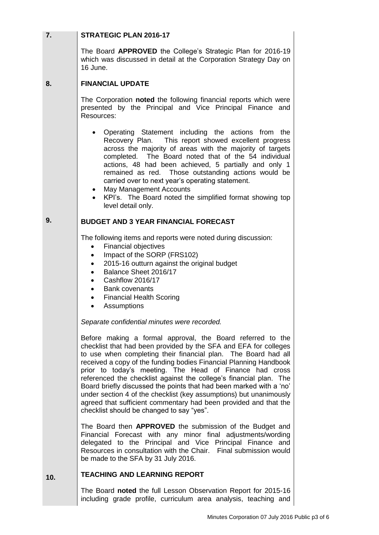| 7.  | <b>STRATEGIC PLAN 2016-17</b>                                                                                                                                                                                                                                                                                                                                                                                                                                                                                                                                                                                                                                        |
|-----|----------------------------------------------------------------------------------------------------------------------------------------------------------------------------------------------------------------------------------------------------------------------------------------------------------------------------------------------------------------------------------------------------------------------------------------------------------------------------------------------------------------------------------------------------------------------------------------------------------------------------------------------------------------------|
|     | The Board APPROVED the College's Strategic Plan for 2016-19<br>which was discussed in detail at the Corporation Strategy Day on<br>16 June.                                                                                                                                                                                                                                                                                                                                                                                                                                                                                                                          |
| 8.  | <b>FINANCIAL UPDATE</b>                                                                                                                                                                                                                                                                                                                                                                                                                                                                                                                                                                                                                                              |
|     | The Corporation noted the following financial reports which were<br>presented by the Principal and Vice Principal Finance and<br>Resources:                                                                                                                                                                                                                                                                                                                                                                                                                                                                                                                          |
|     | Operating Statement including the actions from the<br>Recovery Plan. This report showed excellent progress<br>across the majority of areas with the majority of targets<br>completed. The Board noted that of the 54 individual<br>actions, 48 had been achieved, 5 partially and only 1<br>remained as red. Those outstanding actions would be<br>carried over to next year's operating statement.<br>• May Management Accounts<br>KPI's. The Board noted the simplified format showing top<br>level detail only.                                                                                                                                                   |
| 9.  | <b>BUDGET AND 3 YEAR FINANCIAL FORECAST</b>                                                                                                                                                                                                                                                                                                                                                                                                                                                                                                                                                                                                                          |
|     | The following items and reports were noted during discussion:<br>Financial objectives<br>$\bullet$<br>Impact of the SORP (FRS102)<br>٠<br>2015-16 outturn against the original budget<br>$\bullet$<br>Balance Sheet 2016/17<br>$\bullet$<br>Cashflow 2016/17<br>$\bullet$<br><b>Bank covenants</b><br>$\bullet$<br><b>Financial Health Scoring</b><br>$\bullet$<br>Assumptions<br>$\bullet$                                                                                                                                                                                                                                                                          |
|     | Separate confidential minutes were recorded.                                                                                                                                                                                                                                                                                                                                                                                                                                                                                                                                                                                                                         |
|     | Before making a formal approval, the Board referred to the<br>checklist that had been provided by the SFA and EFA for colleges<br>to use when completing their financial plan. The Board had all<br>received a copy of the funding bodies Financial Planning Handbook<br>prior to today's meeting. The Head of Finance had cross<br>referenced the checklist against the college's financial plan. The<br>Board briefly discussed the points that had been marked with a 'no'<br>under section 4 of the checklist (key assumptions) but unanimously<br>agreed that sufficient commentary had been provided and that the<br>checklist should be changed to say "yes". |
|     | The Board then <b>APPROVED</b> the submission of the Budget and<br>Financial Forecast with any minor final adjustments/wording<br>delegated to the Principal and Vice Principal Finance and<br>Resources in consultation with the Chair. Final submission would<br>be made to the SFA by 31 July 2016.                                                                                                                                                                                                                                                                                                                                                               |
| 10. | <b>TEACHING AND LEARNING REPORT</b>                                                                                                                                                                                                                                                                                                                                                                                                                                                                                                                                                                                                                                  |
|     | The Board noted the full Lesson Observation Report for 2015-16                                                                                                                                                                                                                                                                                                                                                                                                                                                                                                                                                                                                       |

including grade profile, curriculum area analysis, teaching and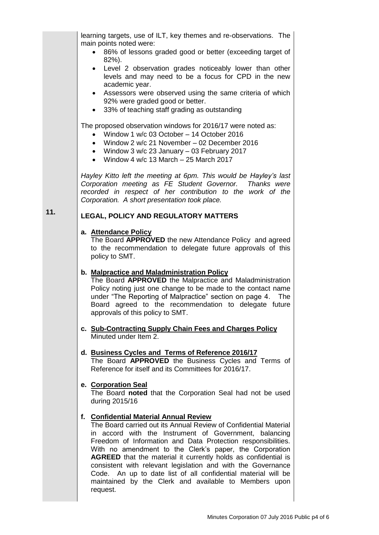|     | learning targets, use of ILT, key themes and re-observations. The<br>main points noted were:<br>86% of lessons graded good or better (exceeding target of<br>82%).<br>Level 2 observation grades noticeably lower than other<br>$\bullet$<br>levels and may need to be a focus for CPD in the new<br>academic year.<br>Assessors were observed using the same criteria of which<br>٠<br>92% were graded good or better.<br>33% of teaching staff grading as outstanding<br>٠<br>The proposed observation windows for 2016/17 were noted as:<br>Window 1 w/c 03 October - 14 October 2016<br>Window 2 w/c 21 November - 02 December 2016<br>Window 3 w/c 23 January - 03 February 2017<br>Window 4 w/c 13 March - 25 March 2017<br>$\bullet$<br>Hayley Kitto left the meeting at 6pm. This would be Hayley's last<br>Corporation meeting as FE Student Governor. Thanks were<br>recorded in respect of her contribution to the work of the<br>Corporation. A short presentation took place. |
|-----|--------------------------------------------------------------------------------------------------------------------------------------------------------------------------------------------------------------------------------------------------------------------------------------------------------------------------------------------------------------------------------------------------------------------------------------------------------------------------------------------------------------------------------------------------------------------------------------------------------------------------------------------------------------------------------------------------------------------------------------------------------------------------------------------------------------------------------------------------------------------------------------------------------------------------------------------------------------------------------------------|
| 11. | <b>LEGAL, POLICY AND REGULATORY MATTERS</b>                                                                                                                                                                                                                                                                                                                                                                                                                                                                                                                                                                                                                                                                                                                                                                                                                                                                                                                                                |
|     | a. Attendance Policy<br>The Board APPROVED the new Attendance Policy and agreed<br>to the recommendation to delegate future approvals of this<br>policy to SMT.                                                                                                                                                                                                                                                                                                                                                                                                                                                                                                                                                                                                                                                                                                                                                                                                                            |
|     | b. Malpractice and Maladministration Policy<br>The Board APPROVED the Malpractice and Maladministration<br>Policy noting just one change to be made to the contact name<br>under "The Reporting of Malpractice" section on page 4.<br>The<br>Board agreed to the recommendation to delegate future<br>approvals of this policy to SMT.                                                                                                                                                                                                                                                                                                                                                                                                                                                                                                                                                                                                                                                     |
|     | c. Sub-Contracting Supply Chain Fees and Charges Policy<br>Minuted under Item 2.                                                                                                                                                                                                                                                                                                                                                                                                                                                                                                                                                                                                                                                                                                                                                                                                                                                                                                           |
|     | d. Business Cycles and Terms of Reference 2016/17<br>The Board APPROVED the Business Cycles and Terms of<br>Reference for itself and its Committees for 2016/17.                                                                                                                                                                                                                                                                                                                                                                                                                                                                                                                                                                                                                                                                                                                                                                                                                           |
|     | e. Corporation Seal<br>The Board noted that the Corporation Seal had not be used<br>during 2015/16                                                                                                                                                                                                                                                                                                                                                                                                                                                                                                                                                                                                                                                                                                                                                                                                                                                                                         |
|     | f. Confidential Material Annual Review<br>The Board carried out its Annual Review of Confidential Material<br>in accord with the Instrument of Government, balancing<br>Freedom of Information and Data Protection responsibilities.<br>With no amendment to the Clerk's paper, the Corporation<br><b>AGREED</b> that the material it currently holds as confidential is<br>consistent with relevant legislation and with the Governance<br>Code. An up to date list of all confidential material will be<br>maintained by the Clerk and available to Members upon<br>request.                                                                                                                                                                                                                                                                                                                                                                                                             |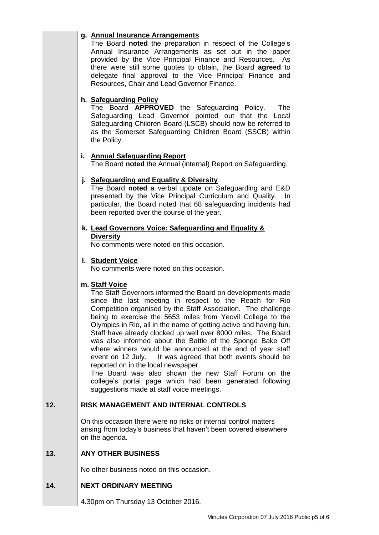# **g. Annual Insurance Arrangements**

The Board **noted** the preparation in respect of the College's Annual Insurance Arrangements as set out in the paper provided by the Vice Principal Finance and Resources. As there were still some quotes to obtain, the Board **agreed** to delegate final approval to the Vice Principal Finance and Resources, Chair and Lead Governor Finance.

### **h. Safeguarding Policy**

The Board **APPROVED** the Safeguarding Policy. The Safeguarding Lead Governor pointed out that the Local Safeguarding Children Board (LSCB) should now be referred to as the Somerset Safeguarding Children Board (SSCB) within the Policy.

### **i. Annual Safeguarding Report**

The Board **noted** the Annual (internal) Report on Safeguarding.

### **j. Safeguarding and Equality & Diversity**

The Board **noted** a verbal update on Safeguarding and E&D presented by the Vice Principal Curriculum and Quality. In particular, the Board noted that 68 safeguarding incidents had been reported over the course of the year.

### **k. Lead Governors Voice: Safeguarding and Equality & Diversity**

No comments were noted on this occasion.

### **l. Student Voice**

No comments were noted on this occasion.

### **m. Staff Voice**

The Staff Governors informed the Board on developments made since the last meeting in respect to the Reach for Rio Competition organised by the Staff Association. The challenge being to exercise the 5653 miles from Yeovil College to the Olympics in Rio, all in the name of getting active and having fun. Staff have already clocked up well over 8000 miles. The Board was also informed about the Battle of the Sponge Bake Off where winners would be announced at the end of year staff event on 12 July. It was agreed that both events should be reported on in the local newspaper.

The Board was also shown the new Staff Forum on the college's portal page which had been generated following suggestions made at staff voice meetings.

#### **12. RISK MANAGEMENT AND INTERNAL CONTROLS**

On this occasion there were no risks or internal control matters arising from today's business that haven't been covered elsewhere on the agenda.

#### **13. ANY OTHER BUSINESS**

No other business noted on this occasion.

#### **14. NEXT ORDINARY MEETING**

4.30pm on Thursday 13 October 2016.